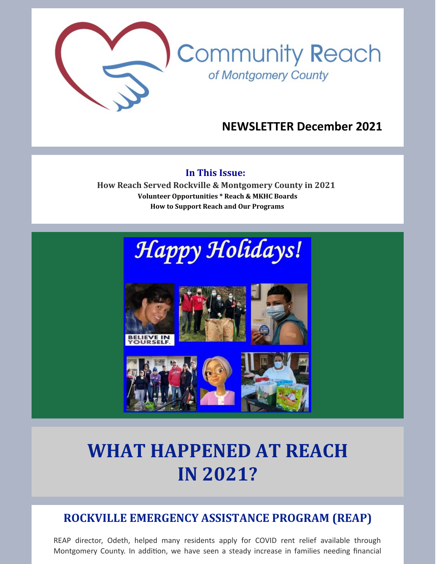

## **NEWSLETTER December 2021**

#### **In This Issue:**

**How Reach Served Rockville & Montgomery County in 2021 Volunteer Opportunities \* Reach & MKHC Boards How to Support Reach and Our Programs**





# **WHAT HAPPENED AT REACH IN 2021?**

# **ROCKVILLE EMERGENCY ASSISTANCE PROGRAM (REAP)**

REAP director, Odeth, helped many residents apply for COVID rent relief available through Montgomery County. In addition, we have seen a steady increase in families needing financial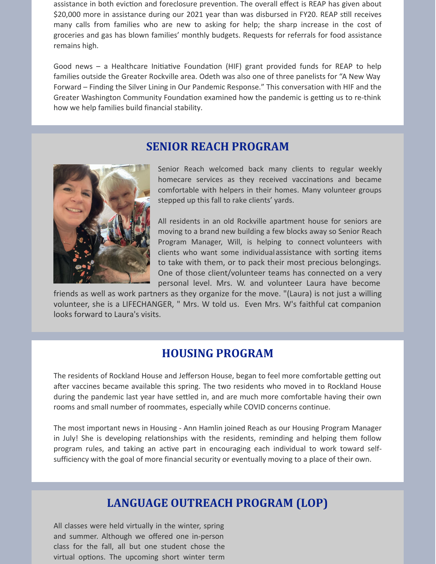assistance in both eviction and foreclosure prevention. The overall effect is REAP has given about \$20,000 more in assistance during our 2021 year than was disbursed in FY20. REAP still receives many calls from families who are new to asking for help; the sharp increase in the cost of groceries and gas has blown families' monthly budgets. Requests for referrals for food assistance remains high.

Good news – a Healthcare Initiative Foundation (HIF) grant provided funds for REAP to help families outside the Greater Rockville area. Odeth was also one of three panelists for "A New Way Forward – Finding the Silver Lining in Our Pandemic Response." This conversation with HIF and the Greater Washington Community Foundation examined how the pandemic is getting us to re-think how we help families build financial stability.

#### **SENIOR REACH PROGRAM**



Senior Reach welcomed back many clients to regular weekly homecare services as they received vaccinations and became comfortable with helpers in their homes. Many volunteer groups stepped up this fall to rake clients' yards.

All residents in an old Rockville apartment house for seniors are moving to a brand new building a few blocks away so Senior Reach Program Manager, Will, is helping to connect volunteers with clients who want some individualassistance with sorting items to take with them, or to pack their most precious belongings. One of those client/volunteer teams has connected on a very personal level. Mrs. W. and volunteer Laura have become

friends as well as work partners as they organize for the move. "(Laura) is not just a willing volunteer, she is a LIFECHANGER, " Mrs. W told us. Even Mrs. W's faithful cat companion looks forward to Laura's visits.

#### **HOUSING PROGRAM**

The residents of Rockland House and Jefferson House, began to feel more comfortable getting out after vaccines became available this spring. The two residents who moved in to Rockland House during the pandemic last year have settled in, and are much more comfortable having their own rooms and small number of roommates, especially while COVID concerns continue.

The most important news in Housing - Ann Hamlin joined Reach as our Housing Program Manager in July! She is developing relationships with the residents, reminding and helping them follow program rules, and taking an active part in encouraging each individual to work toward selfsufficiency with the goal of more financial security or eventually moving to a place of their own.

## **LANGUAGE OUTREACH PROGRAM (LOP)**

All classes were held virtually in the winter, spring and summer. Although we offered one in-person class for the fall, all but one student chose the virtual options. The upcoming short winter term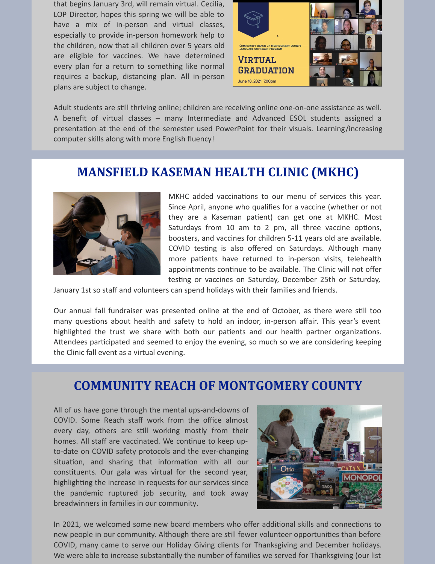that begins January 3rd, will remain virtual. Cecilia, LOP Director, hopes this spring we will be able to have a mix of in-person and virtual classes, especially to provide in-person homework help to the children, now that all children over 5 years old are eligible for vaccines. We have determined every plan for a return to something like normal requires a backup, distancing plan. All in-person plans are subject to change.



Adult students are still thriving online; children are receiving online one-on-one assistance as well. A benefit of virtual classes – many Intermediate and Advanced ESOL students assigned a presentation at the end of the semester used PowerPoint for their visuals. Learning/increasing computer skills along with more English fluency!

# **MANSFIELD KASEMAN HEALTH CLINIC (MKHC)**



MKHC added vaccinations to our menu of services this year. Since April, anyone who qualifies for a vaccine (whether or not they are a Kaseman patient) can get one at MKHC. Most Saturdays from 10 am to 2 pm, all three vaccine options, boosters, and vaccines for children 5-11 years old are available. COVID testing is also offered on Saturdays. Although many more patients have returned to in-person visits, telehealth appointments continue to be available. The Clinic will not offer testing or vaccines on Saturday, December 25th or Saturday,

January 1st so staff and volunteers can spend holidays with their families and friends.

Our annual fall fundraiser was presented online at the end of October, as there were still too many questions about health and safety to hold an indoor, in-person affair. This year's event highlighted the trust we share with both our patients and our health partner organizations. Attendees participated and seemed to enjoy the evening, so much so we are considering keeping the Clinic fall event as a virtual evening.

## **COMMUNITY REACH OF MONTGOMERY COUNTY**

All of us have gone through the mental ups-and-downs of COVID. Some Reach staff work from the office almost every day, others are still working mostly from their homes. All staff are vaccinated. We continue to keep upto-date on COVID safety protocols and the ever-changing situation, and sharing that information with all our constituents. Our gala was virtual for the second year, highlighting the increase in requests for our services since the pandemic ruptured job security, and took away breadwinners in families in our community.



In 2021, we welcomed some new board members who offer additional skills and connections to new people in our community. Although there are still fewer volunteer opportunities than before COVID, many came to serve our Holiday Giving clients for Thanksgiving and December holidays. We were able to increase substantially the number of families we served for Thanksgiving (our list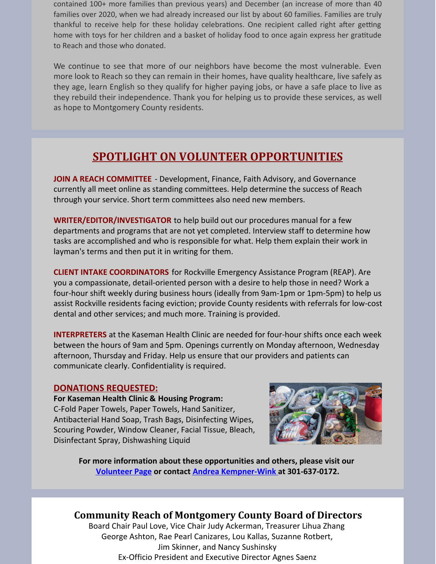contained 100+ more families than previous years) and December (an increase of more than 40 families over 2020, when we had already increased our list by about 60 families. Families are truly thankful to receive help for these holiday celebrations. One recipient called right after getting home with toys for her children and a basket of holiday food to once again express her gratitude to Reach and those who donated.

We continue to see that more of our neighbors have become the most vulnerable. Even more look to Reach so they can remain in their homes, have quality healthcare, live safely as they age, learn English so they qualify for higher paying jobs, or have a safe place to live as they rebuild their independence. Thank you for helping us to provide these services, as well as hope to Montgomery County residents.

### **SPOTLIGHT ON VOLUNTEER OPPORTUNITIES**

**JOIN A REACH COMMITTEE** - Development, Finance, Faith Advisory, and Governance currently all meet online as standing committees. Help determine the success of Reach through your service. Short term committees also need new members.

**WRITER/EDITOR/INVESTIGATOR** to help build out our procedures manual for a few departments and programs that are not yet completed. Interview staff to determine how tasks are accomplished and who is responsible for what. Help them explain their work in layman's terms and then put it in writing for them.

**CLIENT INTAKE COORDINATORS** for Rockville Emergency Assistance Program (REAP). Are you a compassionate, detail-oriented person with a desire to help those in need? Work a four-hour shift weekly during business hours (ideally from 9am-1pm or 1pm-5pm) to help us assist Rockville residents facing eviction; provide County residents with referrals for low-cost dental and other services; and much more. Training is provided.

**INTERPRETERS** at the Kaseman Health Clinic are needed for four-hour shifts once each week between the hours of 9am and 5pm. Openings currently on Monday afternoon, Wednesday afternoon, Thursday and Friday. Help us ensure that our providers and patients can communicate clearly. Confidentiality is required.

#### **DONATIONS REQUESTED:**

**For Kaseman Health Clinic & Housing Program:** C-Fold Paper Towels, Paper Towels, Hand Sanitizer, Antibacterial Hand Soap, Trash Bags, Disinfecting Wipes, Scouring Powder, Window Cleaner, Facial Tissue, Bleach, Disinfectant Spray, Dishwashing Liquid



**For more information about these opportunities and others, please visit our [Volunteer](https://www.cmrocks.org/copy-of-volunteer) Page or contact Andrea [Kempner-Wink](mailto:andreakwink@cmrocks.org) at 301-637-0172.**

#### **Community Reach of Montgomery County Board of Directors**

Board Chair Paul Love, Vice Chair Judy Ackerman, Treasurer Lihua Zhang George Ashton, Rae Pearl Canizares, Lou Kallas, Suzanne Rotbert, Jim Skinner, and Nancy Sushinsky Ex-Officio President and Executive Director Agnes Saenz